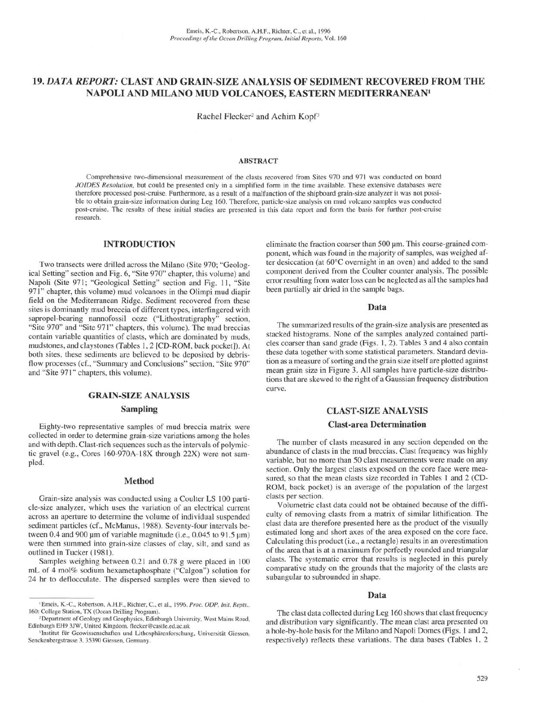# 19. *DATA REPORT:* CLAST AND GRAIN-SIZE ANALYSIS OF SEDIMENT RECOVERED FROM THE NAPOLI AND MILANO MUD VOLCANOES, EASTERN MEDITERRANEAN<sup>1</sup>

Rachel Flecker<sup>2</sup> and Achim Kopf<sup>3</sup>

### **ABSTRACT**

Comprehensive two-dimensional measurement of the clasts recovered from Sites 970 and 971 was conducted on board *JOIDES Resolution,* but could be presented only in a simplified form in the time available. These extensive databases were therefore processed post-cruise. Furthermore, as a result of a malfunction of the shipboard grain-size analyzer it was not possible to obtain grain-size information during Leg 160. Therefore, particle-size analysis on mud volcano samples was conducted post-cruise. The results of these initial studies are presented in this data report and form the basis for further post-cruise research.

### INTRODUCTION

Two transects were drilled across the Milano (Site 970; "Geological Setting" section and Fig. 6, "Site 970" chapter, this volume) and Napoli (Site 971; "Geological Setting" section and Fig. 11, "Site 971" chapter, this volume) mud volcanoes in the Olimpi mud diapir field on the Mediterranean Ridge. Sediment recovered from these sites is dominantly mud breccia of different types, interfingered with sapropel-bearing nannofossil ooze ("Lithostratigraphy" section, "Site 970" and "Site 971" chapters, this volume). The mud breccias contain variable quantities of clasts, which are dominated by muds, mudstones, and claystones (Tables 1,2 [CD-ROM, back pocket]). At both sites, these sediments are believed to be deposited by debrisflow processes (cf., "Summary and Conclusions" section, "Site 970" and "Site 971" chapters, this volume).

## **GRAIN-SIZE ANALYSIS**

### **Sampling**

Eighty-two representative samples of mud breccia matrix were collected in order to determine grain-size variations among the holes and with depth. Clast-rich sequences such as the intervals of polymictic gravel (e.g., Cores 160-970A-18X through 22X) were not sampled.

## **Method**

Grain-size analysis was conducted using a Coulter LS 100 particle-size analyzer, which uses the variation of an electrical current across an aperture to determine the volume of individual suspended sediment particles (cf., McManus, 1988). Seventy-four intervals between 0.4 and 900  $\mu$ m of variable magnitude (i.e., 0.045 to 91.5  $\mu$ m) were then summed into grain-size classes of clay, silt, and sand as outlined in Tucker (1981).

Samples weighing between 0.21 and 0.78 g were placed in 100 mL of 4 mol% sodium hexametaphosphate ("Calgon") solution for 24 hr to deflocculate. The dispersed samples were then sieved to

eliminate the fraction coarser than 500 µm. This coarse-grained component, which was found in the majority of samples, was weighed after desiccation (at 60°C overnight in an oven) and added to the sand component derived from the Coulter counter analysis. The possible error resulting from water loss can be neglected as all the samples had been partially air dried in the sample bags.

#### **Data**

The summarized results of the grain-size analysis are presented as stacked histograms. None of the samples analyzed contained particles coarser than sand grade (Figs. 1, 2). Tables 3 and 4 also contain these data together with some statistical parameters. Standard deviation as a measure of sorting and the grain size itself are plotted against mean grain size in Figure 3. All samples have particle-size distributions that are skewed to the right of a Gaussian frequency distribution curve.

### **CLAST-SIZE ANALYSIS**

### **Clast-area Determination**

The number of clasts measured in any section depended on the abundance of clasts in the mud breccias. Clast frequency was highly variable, but no more than 50 clast measurements were made on any section. Only the largest clasts exposed on the core face were measured, so that the mean clasts size recorded in Tables 1 and 2 (CD-ROM, back pocket) is an average of the population of the largest clasts per section.

Volumetric clast data could not be obtained because of the difficulty of removing clasts from a matrix of similar lithification. The clast data are therefore presented here as the product of the visually estimated long and short axes of the area exposed on the core face. Calculating this product (i.e., a rectangle) results in an overestimation of the area that is at a maximum for perfectly rounded and triangular clasts. The systematic error that results is neglected in this purely comparative study on the grounds that the majority of the clasts are subangular to subrounded in shape.

#### Data

The clast data collected during Leg 160 shows that clast frequency and distribution vary significantly. The mean clast area presented on a hole-by-hole basis for the Milano and Napoli Domes (Figs. 1 and 2, respectively) reflects these variations. The data bases (Tables 1, 2

<sup>&#</sup>x27;Emeis, K.-C, Robertson, A.H.F., Richter, C, et al., 1996. *Proc. ODP, Init. Repts.,* 160: College Station, TX (Ocean Drilling Program).

<sup>2</sup> Department of Geology and Geophysics, Edinburgh University, West Mains Road, Edinburgh EH9 3JW, United Kingdom, flecker@castle.ed.ac.uk

<sup>&</sup>lt;sup>3</sup>Institut für Geowissenschaften und Lithosphärenforschung, Universität Giessen, Senckenbergstrasse 3, 35390 Giessen, Germany.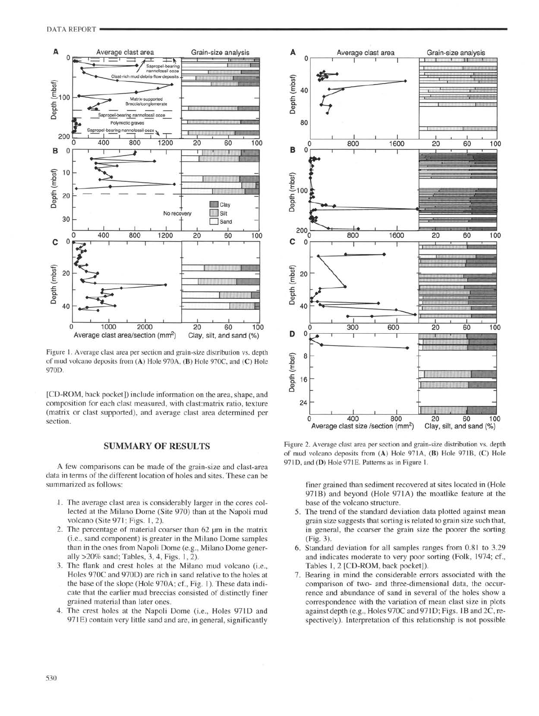

Figure 1. Average clast area per section and grain-size distribution vs. depth of mud volcano deposits from (A) Hole 970A, (B) Hole 970C, and (C) Hole 970D.

[CD-ROM, back pocket]) include information on the area, shape, and composition for each clast measured, with clast:matrix ratio, texture (matrix or clast supported), and average clast area determined per section.

## SUMMARY OF RESULTS

A few comparisons can be made of the grain-size and clast-area data in terms of the different location of holes and sites. These can be summarized as follows:

- 1. The average clast area is considerably larger in the cores col lected at the Milano Dome (Site 970) than at the Napoli mud volcano (Site 971; Figs. 1, 2).
- 2. The percentage of material coarser than 62  $\mu$ m in the matrix (i.e., sand component) is greater in the Milano Dome samples than in the ones from Napoli Dome (e.g., Milano Dome gener ally >20% sand; Tables, 3, 4, Figs. 1, 2).
- 3. The flank and crest holes at the Milano mud volcano (i.e., Holes 970C and 970D) are rich in sand relative to the holes at the base of the slope (Hole 970A; cf., Fig. 1). These data indi cate that the earlier mud breccias consisted of distinctly finer grained material than later ones.
- 4. The crest holes at the Napoli Dome (i.e., Holes 97ID and 971E) contain very little sand and are, in general, significantly



Figure 2. Average clast area per section and grain-size distribution vs. depth of mud volcano deposits from (A) Hole 971A, (B) Hole 971B, (C) Hole 97ID, and (D) Hole 97IE. Patterns as in Figure 1.

finer grained than sediment recovered at sites located in (Hole 971B) and beyond (Hole 971A) the moatlike feature at the base of the volcano structure.

- 5. The trend of the standard deviation data plotted against mean grain size suggests that sorting is related to grain size such that, in general, the coarser the grain size the poorer the sorting (Fig. 3).
- 6. Standard deviation for all samples ranges from 0.81 to 3.29 and indicates moderate to very poor sorting (Folk, 1974; cf., Tables 1, 2 [CD-ROM, back pocket]).
- 7. Bearing in mind the considerable errors associated with the comparison of two- and three-dimensional data, the occurrence and abundance of sand in several of the holes show a correspondence with the variation of mean clast size in plots against depth (e.g., Holes 970C and 971D; Figs. 1B and 2C, respectively). Interpretation of this relationship is not possible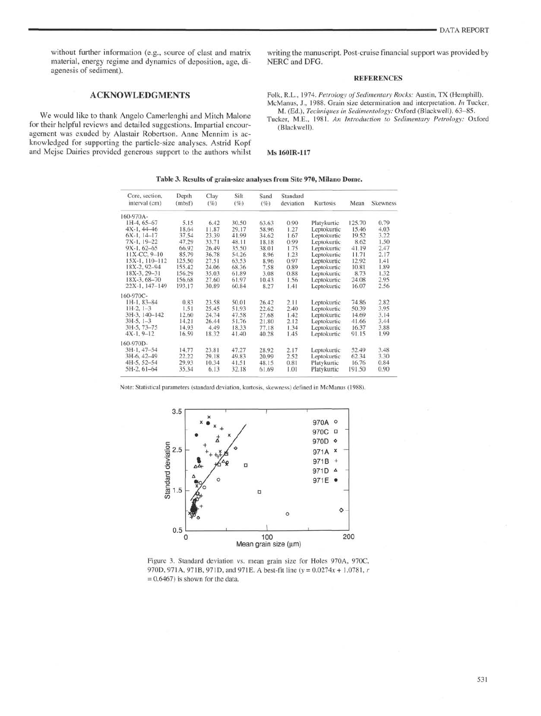without further information (e.g., source of clast and matrix material, energy regime and dynamics of deposition, age, di agenesis of sediment).

## ACKNOWLEDGMENTS

We would like to thank Angelo Camerlenghi and Mitch Malone for their helpful reviews and detailed suggestions. Impartial encour agement was exuded by Alastair Robertson. Anne Mennim is ac knowledged for supporting the particle-size analyses. Astrid Kopf and Mejse Dairies provided generous support to the authors whilst

writing the manuscript. Post-cruise financial support was provided by NERC and DFG.

### REFERENCES

Folk, R.L., 1974. *Petrology of Sedimentary Rocks:* Austin, TX (Hemphill). McManus, J., 1988. Grain size determination and interpretation. *In* Tucker,

M. (Ed.), *Techniques in Sedimentology:* Oxford (Blackwell), 63-85. Tucker, M.E., 1981. *An Introduction to Sedimentary Petrology:* Oxford (Blackwell).

#### Ms **160IR-117**

#### **Table 3. Results of grain-size analyses from Site 970, Milano Dome.**

| Core, section,<br>interval (cm) | Depth<br>(mbsf) | Clay<br>(% | Silt<br>(%) | Sand<br>(%) | Standard<br>deviation | Kurtosis    | Mean   | <b>Skewness</b> |
|---------------------------------|-----------------|------------|-------------|-------------|-----------------------|-------------|--------|-----------------|
| 160-970A-                       |                 |            |             |             |                       |             |        |                 |
| IH-4, 65-67                     | 5.15            | 6.42       | 30.50       | 63.63       | 0.90                  | Platykurtic | 125.70 | 0.79            |
| $4X-1.44-46$                    | 18.64           | 11.87      | 29.17       | 58.96       | 1.27                  | Leptokurtic | 15.46  | 4.03            |
| $6X-1.14-17$                    | 37.54           | 23.39      | 41.99       | 34.62       | 1.67                  | Leptokurtic | 19.52  | 3.22            |
| $7X-1.19-22$                    | 47.29           | 33.71      | 48.11       | 18.18       | 0.99                  | Leptokurtic | 8.62   | 1.50            |
| $9X-1.62-65$                    | 66.92           | 26.49      | 35.50       | 38.01       | 1.75                  | Leptokurtic | 41.19  | 2.47            |
| 11X-CC, 9-10                    | 85.79           | 36.78      | 54.26       | 8.96        | 1.23                  | Leptokurtic | 11.71  | 2.17            |
| 15X-1, 110-112                  | 125.50          | 27.51      | 63.53       | 8.96        | 0.97                  | Leptokurtic | 12.92  | 1.41            |
| 18X-2, 92-94                    | 155.42          | 24.06      | 68.36       | 7.58        | 0.89                  | Leptokurtic | 10.81  | 1.89            |
| 18X-3, 29-31                    | 156.29          | 35.03      | 61.89       | 3.08        | 0.88                  | Leptokurtic | 8.73   | 1.32            |
| 18X-3, 68-70                    | 156.68          | 27.60      | 61.97       | 10.43       | 1.56                  | Leptokurtic | 24.08  | 2.95            |
| 22X-1, 147-149                  | 193.17          | 30.89      | 60.84       | 8.27        | 1.41                  | Leptokurtic | 16.07  | 2.56            |
| 160-970C-                       |                 |            |             |             |                       |             |        |                 |
| IH-1, 83-84                     | 0.83            | 23.58      | 50.01       | 26.42       | 2.11                  | Leptokurtic | 74.86  | 2.82            |
| $1H-2, 1-3$                     | 1.51            | 25.45      | 51.93       | 22.62       | 2.40                  | Leptokurtic | 50.39  | 3.95            |
| 3H-3, 140-142                   | 12.60           | 24.74      | 47.58       | 27.68       | 1.42                  | Leptokurtic | 14.69  | 3.14            |
| $3H-5, 1-3$                     | 14.21           | 26.44      | 51.76       | 21.80       | 2.12                  | Leptokurtic | 41.66  | 3.44            |
| $3H-5, 73-75$                   | 14.93           | 4.49       | 18.33       | 77.18       | 1.34                  | Leptokurtic | 16.37  | 3.88            |
| $4X-1, 9-12$                    | 16.59           | 18.32      | 41.40       | 40.28       | 1.45                  | Leptokurtic | 91.15  | 1.99            |
| 160-970D-                       |                 |            |             |             |                       |             |        |                 |
| 3H-1, 47-54                     | 14.77           | 23.81      | 47.27       | 28.92       | 2.17                  | Leptokurtic | 52.49  | 3.48            |
| 3H-6, 42-49                     | 22.22           | 29.18      | 49.83       | 20.99       | 2.52                  | Leptokurtic | 62.34  | 3.30            |
| 4H-5, 52-54                     | 29.93           | 10.34      | 41.51       | 48.15       | 0.81                  | Platykurtic | 16.76  | 0.84            |
| 5H-2, 61-64                     | 35.34           | 6.13       | 32.18       | 61.69       | 1.01                  | Platykurtic | 191.50 | 0.90            |

Note: Statistical parameters (standard deviation, kurtosis, skewness) defined in McManus (1988).